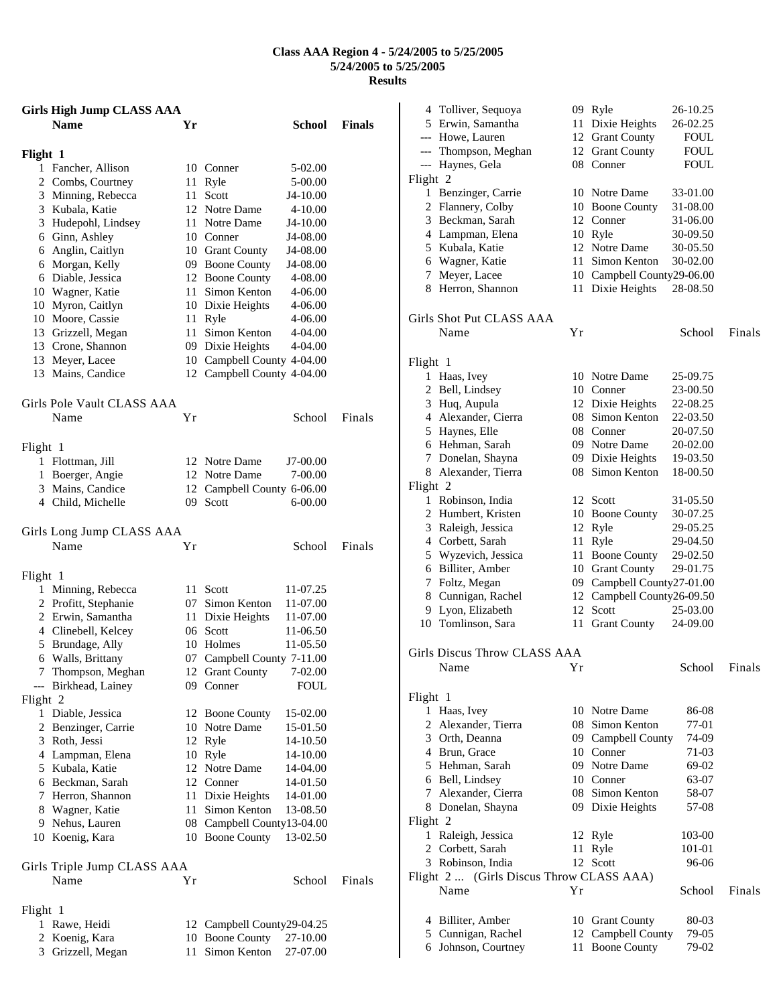## **Class AAA Region 4 - 5/24/2005 to 5/25/2005 5/24/2005 to 5/25/2005 Results**

|                | <b>Girls High Jump CLASS AAA</b>          |    |                                                |                      |               |
|----------------|-------------------------------------------|----|------------------------------------------------|----------------------|---------------|
|                | <b>Name</b>                               | Yr |                                                | <b>School</b>        | <b>Finals</b> |
| Flight 1       |                                           |    |                                                |                      |               |
|                | 1 Fancher, Allison                        |    | 10 Conner                                      | 5-02.00              |               |
|                | 2 Combs, Courtney                         | 11 | Ryle                                           | 5-00.00              |               |
|                | 3 Minning, Rebecca                        | 11 | Scott                                          | J4-10.00             |               |
|                | 3 Kubala, Katie                           |    | 12 Notre Dame                                  | $4 - 10.00$          |               |
|                | 3 Hudepohl, Lindsey                       |    | 11 Notre Dame                                  | J4-10.00             |               |
|                | 6 Ginn, Ashley                            |    | 10 Conner                                      | J4-08.00             |               |
|                | 6 Anglin, Caitlyn                         |    | 10 Grant County                                | J4-08.00             |               |
|                | 6 Morgan, Kelly                           |    | 09 Boone County                                | J4-08.00             |               |
|                | 6 Diable, Jessica                         |    | 12 Boone County                                | 4-08.00              |               |
|                | 10 Wagner, Katie                          |    | 11 Simon Kenton                                | 4-06.00              |               |
|                | 10 Myron, Caitlyn                         |    | 10 Dixie Heights                               | 4-06.00              |               |
|                | 10 Moore, Cassie                          |    | 11 Ryle                                        | 4-06.00              |               |
|                | 13 Grizzell, Megan                        | 11 | Simon Kenton                                   | 4-04.00              |               |
|                | 13 Crone, Shannon<br>13 Meyer, Lacee      |    | 09 Dixie Heights<br>10 Campbell County 4-04.00 | 4-04.00              |               |
|                | 13 Mains, Candice                         |    | 12 Campbell County 4-04.00                     |                      |               |
|                |                                           |    |                                                |                      |               |
|                | Girls Pole Vault CLASS AAA                |    |                                                |                      |               |
|                | Name                                      | Υr |                                                | School               | Finals        |
| Flight 1       |                                           |    |                                                |                      |               |
|                | 1 Flottman, Jill                          |    | 12 Notre Dame                                  | $J7-00.00$           |               |
| 1              | Boerger, Angie                            |    | 12 Notre Dame                                  | 7-00.00              |               |
|                | 3 Mains, Candice                          |    | 12 Campbell County 6-06.00                     |                      |               |
|                | 4 Child, Michelle                         |    | 09 Scott                                       | $6 - 00.00$          |               |
|                | Girls Long Jump CLASS AAA<br>Name         | Υr |                                                | School               | Finals        |
|                |                                           |    |                                                |                      |               |
| Flight 1       |                                           |    |                                                |                      |               |
|                | 1 Minning, Rebecca                        |    | 11 Scott                                       | 11-07.25             |               |
|                | 2 Profitt, Stephanie<br>2 Erwin, Samantha |    | 07 Simon Kenton                                | 11-07.00             |               |
|                | 4 Clinebell, Kelcey                       |    | 11 Dixie Heights<br>06 Scott                   | 11-07.00<br>11-06.50 |               |
|                | 5 Brundage, Ally                          |    | 10 Holmes                                      | 11-05.50             |               |
|                | 6 Walls, Brittany                         |    | 07 Campbell County 7-11.00                     |                      |               |
|                | 7 Thompson, Meghan                        |    | 12 Grant County 7-02.00                        |                      |               |
|                | --- Birkhead, Lainey                      |    | 09 Conner                                      | <b>FOUL</b>          |               |
| Flight 2       |                                           |    |                                                |                      |               |
|                | 1 Diable, Jessica                         |    | 12 Boone County                                | 15-02.00             |               |
|                | 2 Benzinger, Carrie                       |    | 10 Notre Dame                                  | 15-01.50             |               |
|                | 3 Roth, Jessi                             |    | 12 Ryle                                        | 14-10.50             |               |
|                | 4 Lampman, Elena                          |    | 10 Ryle                                        | 14-10.00             |               |
|                | 5 Kubala, Katie                           |    | 12 Notre Dame                                  | 14-04.00             |               |
|                | 6 Beckman, Sarah                          |    | 12 Conner                                      | 14-01.50             |               |
|                | 7 Herron, Shannon                         |    | 11 Dixie Heights                               | 14-01.00             |               |
| 8              | Wagner, Katie                             |    | 11 Simon Kenton                                | 13-08.50             |               |
|                | 9 Nehus, Lauren                           |    | 08 Campbell County13-04.00                     |                      |               |
|                | 10 Koenig, Kara                           |    | 10 Boone County                                | 13-02.50             |               |
|                | Girls Triple Jump CLASS AAA               |    |                                                |                      |               |
|                | Name                                      | Υr |                                                | School               | Finals        |
| Flight 1       |                                           |    |                                                |                      |               |
| 1              | Rawe, Heidi                               |    | 12 Campbell County29-04.25                     |                      |               |
| $\overline{2}$ | Koenig, Kara                              |    | 10 Boone County                                | 27-10.00             |               |
| 3              | Grizzell, Megan                           | 11 | Simon Kenton                                   | 27-07.00             |               |

| 4        | Tolliver, Sequoya                        | 09 | Ryle                       | 26-10.25    |        |
|----------|------------------------------------------|----|----------------------------|-------------|--------|
|          | 5 Erwin, Samantha                        | 11 | Dixie Heights              | 26-02.25    |        |
|          | --- Howe, Lauren                         |    | 12 Grant County            | <b>FOUL</b> |        |
|          | --- Thompson, Meghan                     |    | 12 Grant County            | <b>FOUL</b> |        |
|          | --- Haynes, Gela                         |    | 08 Conner                  | FOUL        |        |
| Flight 2 |                                          |    |                            |             |        |
|          | 1 Benzinger, Carrie                      |    | 10 Notre Dame              | 33-01.00    |        |
|          | 2 Flannery, Colby                        | 10 | <b>Boone County</b>        | 31-08.00    |        |
|          | 3 Beckman, Sarah                         |    | 12 Conner                  | 31-06.00    |        |
|          | 4 Lampman, Elena                         |    | 10 Ryle                    | 30-09.50    |        |
|          | 5 Kubala, Katie                          |    | 12 Notre Dame              | 30-05.50    |        |
|          | 6 Wagner, Katie                          |    | 11 Simon Kenton            | 30-02.00    |        |
| 7        | Meyer, Lacee                             |    | 10 Campbell County29-06.00 |             |        |
|          | 8 Herron, Shannon                        | 11 | Dixie Heights              | 28-08.50    |        |
|          | Girls Shot Put CLASS AAA                 |    |                            |             |        |
|          | Name                                     | Υr |                            | School      | Finals |
|          |                                          |    |                            |             |        |
| Flight 1 |                                          |    |                            |             |        |
|          | 1 Haas, Ivey                             |    | 10 Notre Dame              | 25-09.75    |        |
| 2        | Bell, Lindsey                            |    | 10 Conner                  | 23-00.50    |        |
|          | 3 Huq, Aupula                            |    | 12 Dixie Heights           | 22-08.25    |        |
|          | 4 Alexander, Cierra                      |    | 08 Simon Kenton            | 22-03.50    |        |
|          | 5 Haynes, Elle                           |    | 08 Conner                  | 20-07.50    |        |
|          | 6 Hehman, Sarah                          |    | 09 Notre Dame              | 20-02.00    |        |
|          | 7 Donelan, Shayna                        |    | 09 Dixie Heights           | 19-03.50    |        |
|          | 8 Alexander, Tierra                      | 08 | Simon Kenton               | 18-00.50    |        |
| Flight 2 |                                          |    |                            |             |        |
|          | 1 Robinson, India                        |    | 12 Scott                   | 31-05.50    |        |
|          | 2 Humbert, Kristen                       |    | 10 Boone County            | 30-07.25    |        |
|          | 3 Raleigh, Jessica                       | 12 | Ryle                       | 29-05.25    |        |
|          | 4 Corbett, Sarah                         | 11 | Ryle                       | 29-04.50    |        |
|          | 5 Wyzevich, Jessica                      | 11 | <b>Boone County</b>        | 29-02.50    |        |
|          | 6 Billiter, Amber                        |    | 10 Grant County            | 29-01.75    |        |
|          | 7 Foltz, Megan                           |    | 09 Campbell County27-01.00 |             |        |
|          | 8 Cunnigan, Rachel                       |    | 12 Campbell County26-09.50 |             |        |
| 9        | Lyon, Elizabeth                          | 12 | Scott                      | 25-03.00    |        |
| 10       | Tomlinson, Sara                          | 11 | <b>Grant County</b>        | 24-09.00    |        |
|          | Girls Discus Throw CLASS AAA             |    |                            |             |        |
|          | Name                                     | Υr |                            | School      | Finals |
| Flight 1 |                                          |    |                            |             |        |
|          | 1 Haas, Ivey                             |    | 10 Notre Dame              | 86-08       |        |
|          | 2 Alexander, Tierra                      |    | 08 Simon Kenton            | 77-01       |        |
|          | 3 Orth, Deanna                           |    | 09 Campbell County         | 74-09       |        |
|          | 4 Brun, Grace                            |    | 10 Conner                  | 71-03       |        |
|          | 5 Hehman, Sarah                          |    | 09 Notre Dame              | 69-02       |        |
|          | 6 Bell, Lindsey                          |    | 10 Conner                  | 63-07       |        |
|          | 7 Alexander, Cierra                      |    | 08 Simon Kenton            | 58-07       |        |
|          | 8 Donelan, Shayna                        |    | 09 Dixie Heights           | 57-08       |        |
| Flight 2 |                                          |    |                            |             |        |
|          | 1 Raleigh, Jessica                       |    | 12 Ryle                    | 103-00      |        |
|          | 2 Corbett, Sarah                         | 11 | Ryle                       | 101-01      |        |
|          | 3 Robinson, India                        |    | 12 Scott                   | 96-06       |        |
|          | Flight 2  (Girls Discus Throw CLASS AAA) |    |                            |             |        |
|          | Name                                     | Υr |                            | School      | Finals |
|          |                                          |    |                            |             |        |
|          | 4 Billiter, Amber                        |    | 10 Grant County            | 80-03       |        |
|          | 5 Cunnigan, Rachel                       | 12 | Campbell County            | 79-05       |        |
|          | 6 Johnson, Courtney                      | 11 | <b>Boone County</b>        | 79-02       |        |
|          |                                          |    |                            |             |        |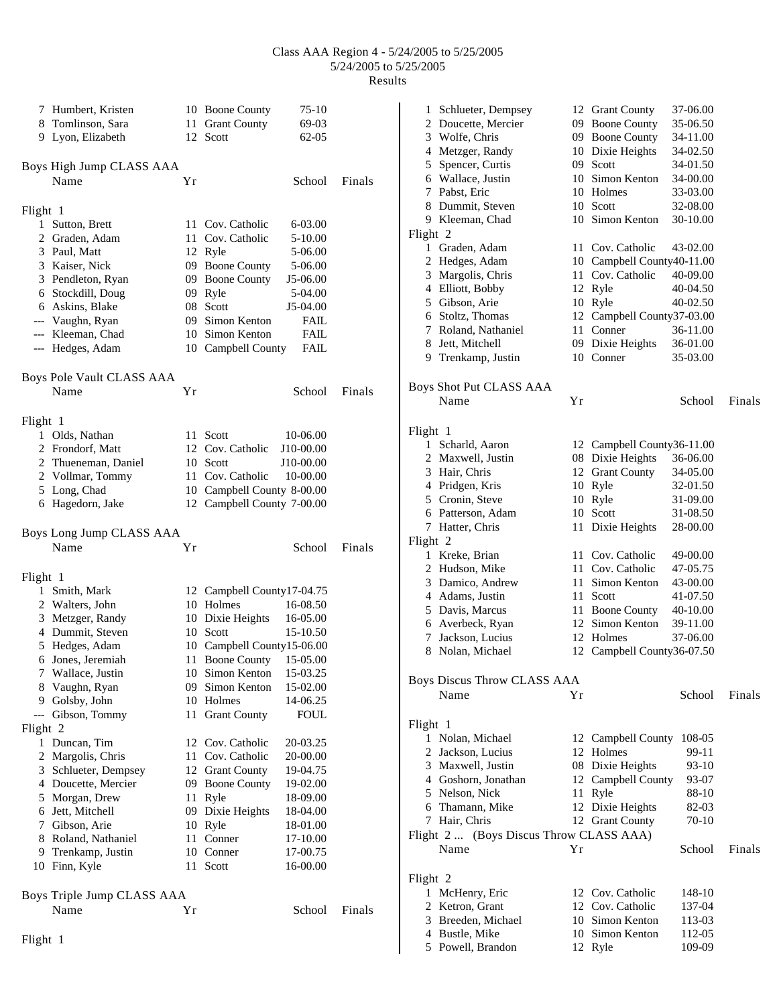## Class AAA Region 4 - 5/24/2005 to 5/25/2005 5/24/2005 to 5/25/2005 Results

|          | 7 Humbert, Kristen         |    | 10 Boone County<br>$75-10$        |        | 12 Grant County<br>37-06.00<br>1 Schlueter, Dempsey    |        |
|----------|----------------------------|----|-----------------------------------|--------|--------------------------------------------------------|--------|
| 8        | Tomlinson, Sara            |    | 11 Grant County<br>69-03          |        | 2 Doucette, Mercier<br>09 Boone County<br>35-06.50     |        |
|          | 9 Lyon, Elizabeth          |    | 12 Scott<br>$62-05$               |        | 09 Boone County<br>3 Wolfe, Chris<br>34-11.00          |        |
|          |                            |    |                                   |        | 34-02.50<br>4 Metzger, Randy<br>10 Dixie Heights       |        |
|          | Boys High Jump CLASS AAA   |    |                                   |        | 5 Spencer, Curtis<br>09 Scott<br>34-01.50              |        |
|          | Name                       | Υr | School                            | Finals | Wallace, Justin<br>Simon Kenton<br>34-00.00<br>10<br>6 |        |
|          |                            |    |                                   |        | Pabst, Eric<br>10<br>Holmes<br>33-03.00<br>7           |        |
| Flight 1 |                            |    |                                   |        | 10 Scott<br>8 Dummit, Steven<br>32-08.00               |        |
|          | 1 Sutton, Brett            |    | 11 Cov. Catholic<br>6-03.00       |        | 9 Kleeman, Chad<br>10 Simon Kenton<br>30-10.00         |        |
|          | 2 Graden, Adam             |    | 11 Cov. Catholic<br>5-10.00       |        | Flight 2                                               |        |
|          | 3 Paul, Matt               |    | 12 Ryle<br>5-06.00                |        | 1 Graden, Adam<br>11 Cov. Catholic<br>43-02.00         |        |
|          | 3 Kaiser, Nick             |    | 09 Boone County<br>5-06.00        |        | 2 Hedges, Adam<br>10 Campbell County40-11.00           |        |
|          | 3 Pendleton, Ryan          |    | 09 Boone County<br>J5-06.00       |        | 11 Cov. Catholic<br>40-09.00<br>3 Margolis, Chris      |        |
|          | 6 Stockdill, Doug          |    | 09 Ryle<br>5-04.00                |        | 4 Elliott, Bobby<br>12 Ryle<br>40-04.50                |        |
|          | 6 Askins, Blake            |    | 08 Scott<br>J5-04.00              |        | 5 Gibson, Arie<br>10 Ryle<br>40-02.50                  |        |
| $-\!-\!$ | Vaughn, Ryan               | 09 | Simon Kenton<br><b>FAIL</b>       |        | 12 Campbell County37-03.00<br>Stoltz, Thomas<br>6      |        |
|          | --- Kleeman, Chad          |    | 10 Simon Kenton<br><b>FAIL</b>    |        | Roland, Nathaniel<br>11 Conner<br>7<br>36-11.00        |        |
|          | --- Hedges, Adam           |    | 10 Campbell County<br><b>FAIL</b> |        | 09 Dixie Heights<br>8<br>Jett, Mitchell<br>36-01.00    |        |
|          |                            |    |                                   |        | 9 Trenkamp, Justin<br>10 Conner<br>35-03.00            |        |
|          |                            |    |                                   |        |                                                        |        |
|          | Boys Pole Vault CLASS AAA  |    |                                   |        | Boys Shot Put CLASS AAA                                |        |
|          | Name                       | Yr | School                            | Finals | Name<br>Yr<br>School                                   | Finals |
|          |                            |    |                                   |        |                                                        |        |
| Flight 1 |                            |    |                                   |        |                                                        |        |
|          | 1 Olds, Nathan             |    | 11 Scott<br>10-06.00              |        | Flight 1                                               |        |
|          | 2 Frondorf, Matt           |    | J10-00.00<br>12 Cov. Catholic     |        | 1 Scharld, Aaron<br>12 Campbell County36-11.00         |        |
|          | 2 Thueneman, Daniel        |    | 10 Scott<br>J10-00.00             |        | 08 Dixie Heights<br>36-06.00<br>2 Maxwell, Justin      |        |
|          | 2 Vollmar, Tommy           |    | 11 Cov. Catholic<br>10-00.00      |        | 3 Hair, Chris<br>12 Grant County<br>34-05.00           |        |
|          | 5 Long, Chad               |    | 10 Campbell County 8-00.00        |        | 4 Pridgen, Kris<br>10 Ryle<br>32-01.50                 |        |
|          | 6 Hagedorn, Jake           |    | 12 Campbell County 7-00.00        |        | 5 Cronin, Steve<br>10 Ryle<br>31-09.00                 |        |
|          |                            |    |                                   |        | 10 Scott<br>31-08.50<br>Patterson, Adam<br>6           |        |
|          | Boys Long Jump CLASS AAA   |    |                                   |        | 7 Hatter, Chris<br>11 Dixie Heights<br>28-00.00        |        |
|          | Name                       | Υr | School                            | Finals | Flight 2                                               |        |
|          |                            |    |                                   |        | 11 Cov. Catholic<br>1 Kreke, Brian<br>49-00.00         |        |
| Flight 1 |                            |    |                                   |        | 11 Cov. Catholic<br>47-05.75<br>2 Hudson, Mike         |        |
|          | 1 Smith, Mark              |    | 12 Campbell County17-04.75        |        | 11 Simon Kenton<br>43-00.00<br>Damico, Andrew<br>3     |        |
|          | 2 Walters, John            |    | 10 Holmes<br>16-08.50             |        | Scott<br>41-07.50<br>Adams, Justin<br>11<br>4          |        |
|          | 3 Metzger, Randy           |    | 10 Dixie Heights<br>16-05.00      |        | 40-10.00<br>Davis, Marcus<br>11 Boone County<br>5      |        |
|          | 4 Dummit, Steven           |    | 10 Scott<br>15-10.50              |        | 39-11.00<br>Averbeck, Ryan<br>12 Simon Kenton<br>6     |        |
|          | 5 Hedges, Adam             |    | 10 Campbell County15-06.00        |        | Jackson, Lucius<br>12 Holmes<br>37-06.00<br>7          |        |
|          | 6 Jones, Jeremiah          |    | 11 Boone County 15-05.00          |        | 8 Nolan, Michael<br>12 Campbell County36-07.50         |        |
|          | 7 Wallace, Justin          |    | 10 Simon Kenton 15-03.25          |        |                                                        |        |
|          | 8 Vaughn, Ryan             |    | 09 Simon Kenton<br>15-02.00       |        | <b>Boys Discus Throw CLASS AAA</b>                     |        |
|          | 9 Golsby, John             |    | 14-06.25<br>10 Holmes             |        | Name<br>Υr<br>School                                   | Finals |
|          | --- Gibson, Tommy          |    | <b>FOUL</b><br>11 Grant County    |        |                                                        |        |
| Flight 2 |                            |    |                                   |        | Flight 1                                               |        |
|          | 1 Duncan, Tim              |    | 12 Cov. Catholic<br>20-03.25      |        | 1 Nolan, Michael<br>12 Campbell County 108-05          |        |
|          | 2 Margolis, Chris          |    | 11 Cov. Catholic<br>20-00.00      |        | Jackson, Lucius<br>12 Holmes<br>99-11<br>2             |        |
|          | 3 Schlueter, Dempsey       |    | 12 Grant County<br>19-04.75       |        | 08 Dixie Heights<br>93-10<br>3 Maxwell, Justin         |        |
|          | 4 Doucette, Mercier        |    | 09 Boone County<br>19-02.00       |        | 93-07<br>Goshorn, Jonathan<br>12 Campbell County<br>4  |        |
|          | 5 Morgan, Drew             |    | 18-09.00<br>11 Ryle               |        | Nelson, Nick<br>88-10<br>11 Ryle<br>5                  |        |
|          | 6 Jett, Mitchell           |    | 09 Dixie Heights<br>18-04.00      |        | 6 Thamann, Mike<br>12 Dixie Heights<br>82-03           |        |
|          | 7 Gibson, Arie             |    | 10 Ryle<br>18-01.00               |        | 7 Hair, Chris<br>12 Grant County<br>70-10              |        |
|          | 8 Roland, Nathaniel        |    | 11 Conner<br>17-10.00             |        | Flight 2  (Boys Discus Throw CLASS AAA)                |        |
|          | 9 Trenkamp, Justin         |    | 10 Conner<br>17-00.75             |        | Name<br>Yr<br>School                                   | Finals |
|          | 10 Finn, Kyle              |    | 11 Scott<br>16-00.00              |        |                                                        |        |
|          |                            |    |                                   |        | Flight 2                                               |        |
|          |                            |    |                                   |        | 12 Cov. Catholic<br>148-10<br>1 McHenry, Eric          |        |
|          | Boys Triple Jump CLASS AAA |    |                                   |        | 12 Cov. Catholic<br>137-04<br>2 Ketron, Grant          |        |
|          | Name                       | Yr | School                            | Finals | Breeden, Michael<br>10 Simon Kenton<br>113-03<br>3     |        |
|          |                            |    |                                   |        | Bustle, Mike<br>10 Simon Kenton<br>112-05<br>4         |        |
| Flight 1 |                            |    |                                   |        | 5 Powell, Brandon<br>12 Ryle<br>109-09                 |        |
|          |                            |    |                                   |        |                                                        |        |